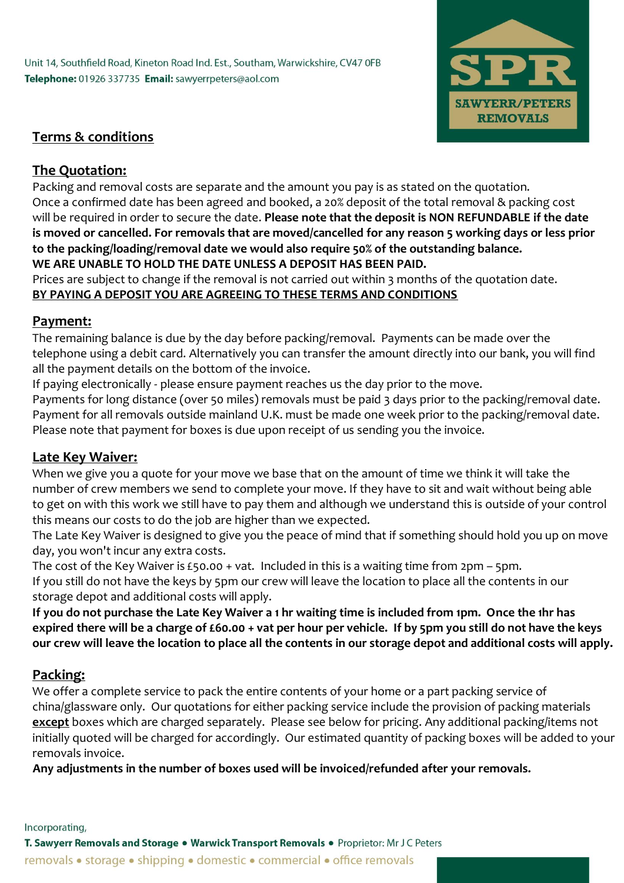Unit 14, Southfield Road, Kineton Road Ind. Est., Southam, Warwickshire, CV47 0FB Telephone: 01926 337735 Email: sawyerrpeters@aol.com



### **Terms & conditions**

### **The Quotation:**

Packing and removal costs are separate and the amount you pay is as stated on the quotation. Once a confirmed date has been agreed and booked, a 20% deposit of the total removal & packing cost will be required in order to secure the date. **Please note that the deposit is NON REFUNDABLE if the date is moved or cancelled. For removals that are moved/cancelled for any reason 5 working days or less prior to the packing/loading/removal date we would also require 50% of the outstanding balance. WE ARE UNABLE TO HOLD THE DATE UNLESS A DEPOSIT HAS BEEN PAID.**

Prices are subject to change if the removal is not carried out within 3 months of the quotation date. **BY PAYING A DEPOSIT YOU ARE AGREEING TO THESE TERMS AND CONDITIONS**

#### **Payment:**

The remaining balance is due by the day before packing/removal. Payments can be made over the telephone using a debit card. Alternatively you can transfer the amount directly into our bank, you will find all the payment details on the bottom of the invoice.

If paying electronically - please ensure payment reaches us the day prior to the move.

Payments for long distance (over 50 miles) removals must be paid 3 days prior to the packing/removal date. Payment for all removals outside mainland U.K. must be made one week prior to the packing/removal date. Please note that payment for boxes is due upon receipt of us sending you the invoice.

## **Late Key Waiver:**

When we give you a quote for your move we base that on the amount of time we think it will take the number of crew members we send to complete your move. If they have to sit and wait without being able to get on with this work we still have to pay them and although we understand this is outside of your control this means our costs to do the job are higher than we expected.

The Late Key Waiver is designed to give you the peace of mind that if something should hold you up on move day, you won't incur any extra costs.

The cost of the Key Waiver is £50.00 + vat. Included in this is a waiting time from 2pm – 5pm. If you still do not have the keys by 5pm our crew will leave the location to place all the contents in our storage depot and additional costs will apply.

**If you do not purchase the Late Key Waiver a 1 hr waiting time is included from 1pm. Once the 1hr has expired there will be a charge of £60.00 + vat per hour per vehicle. If by 5pm you still do not have the keys our crew will leave the location to place all the contents in our storage depot and additional costs will apply.**

# **Packing:**

We offer a complete service to pack the entire contents of your home or a part packing service of china/glassware only. Our quotations for either packing service include the provision of packing materials **except** boxes which are charged separately. Please see below for pricing. Any additional packing/items not initially quoted will be charged for accordingly. Our estimated quantity of packing boxes will be added to your removals invoice.

**Any adjustments in the number of boxes used will be invoiced/refunded after your removals.**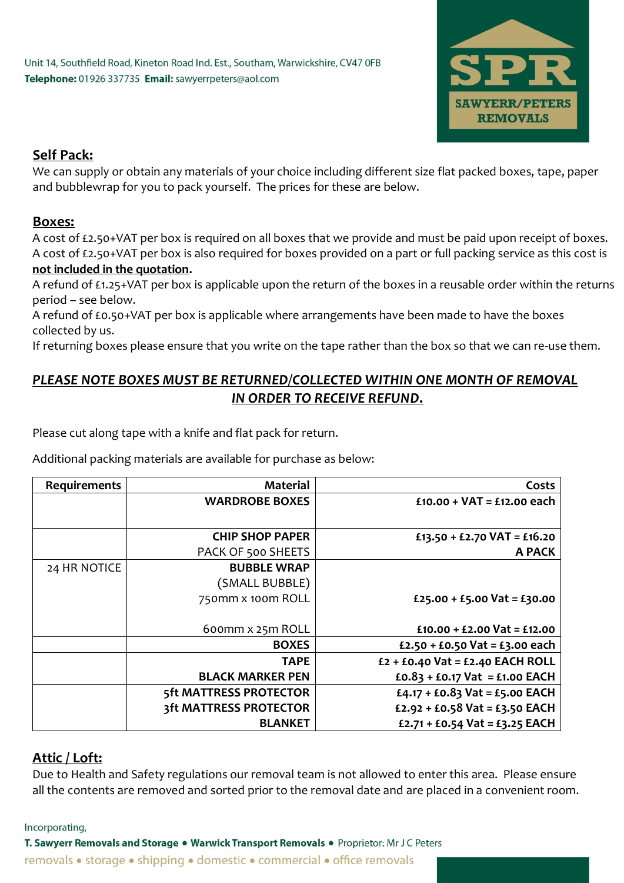

# **Self Pack:**

We can supply or obtain any materials of your choice including different size flat packed boxes, tape, paper and bubblewrap for you to pack yourself. The prices for these are below.

### **Boxes:**

A cost of £2.50+VAT per box is required on all boxes that we provide and must be paid upon receipt of boxes. A cost of £2.50+VAT per box is also required for boxes provided on a part or full packing service as this cost is **not included in the quotation.** 

A refund of £1.25+VAT per box is applicable upon the return of the boxes in a reusable order within the returns period – see below.

A refund of £0.50+VAT per box is applicable where arrangements have been made to have the boxes collected by us.

If returning boxes please ensure that you write on the tape rather than the box so that we can re-use them.

# *PLEASE NOTE BOXES MUST BE RETURNED/COLLECTED WITHIN ONE MONTH OF REMOVAL IN ORDER TO RECEIVE REFUND***.**

Please cut along tape with a knife and flat pack for return.

Additional packing materials are available for purchase as below:

| <b>Requirements</b> | <b>Material</b>         | Costs                              |
|---------------------|-------------------------|------------------------------------|
|                     | <b>WARDROBE BOXES</b>   | $£10.00 + VAT = £12.00$ each       |
|                     |                         |                                    |
|                     | <b>CHIP SHOP PAPER</b>  | £13.50 + £2.70 VAT = £16.20        |
|                     | PACK OF 500 SHEETS      | A PACK                             |
| 24 HR NOTICE        | <b>BUBBLE WRAP</b>      |                                    |
|                     | (SMALL BUBBLE)          |                                    |
|                     | 750mm x 100m ROLL       | £25.00 + £5.00 Vat = £30.00        |
|                     |                         |                                    |
|                     | 600mm x 25m ROLL        | $£10.00 + £2.00$ Vat = £12.00      |
|                     | <b>BOXES</b>            | £2.50 + £0.50 Vat = £3.00 each     |
|                     | <b>TAPE</b>             | $£2 + £0.40$ Vat = £2.40 EACH ROLL |
|                     | <b>BLACK MARKER PEN</b> | £0.83 + £0.17 Vat = £1.00 EACH     |
|                     | 5ft MATTRESS PROTECTOR  | £4.17 + £0.83 Vat = £5.00 EACH     |
|                     | 3ft MATTRESS PROTECTOR  | £2.92 + £0.58 Vat = £3.50 EACH     |
|                     | <b>BLANKET</b>          | £2.71 + £0.54 Vat = £3.25 EACH     |

## **Attic / Loft:**

Due to Health and Safety regulations our removal team is not allowed to enter this area. Please ensure all the contents are removed and sorted prior to the removal date and are placed in a convenient room.

Incorporating,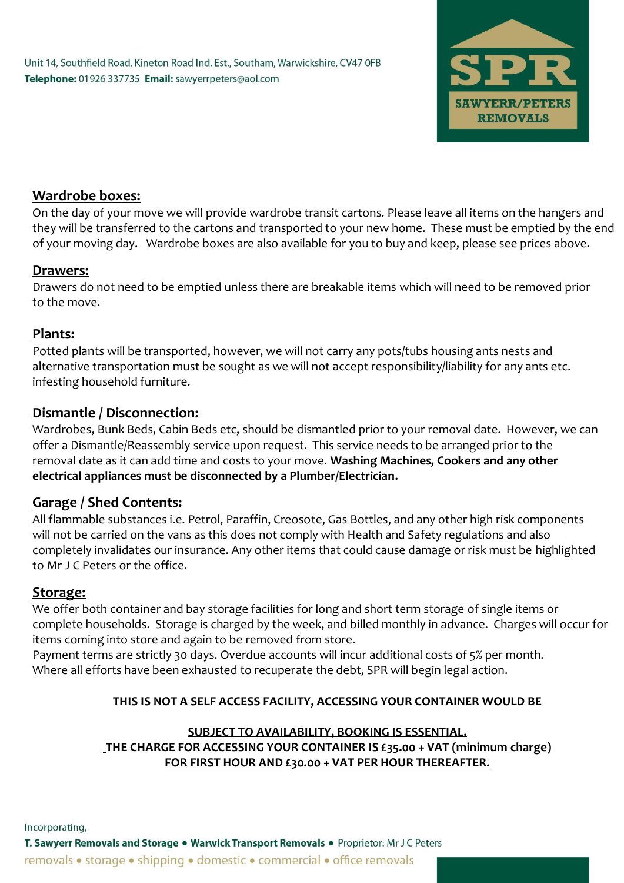

### **Wardrobe boxes:**

On the day of your move we will provide wardrobe transit cartons. Please leave all items on the hangers and they will be transferred to the cartons and transported to your new home. These must be emptied by the end of your moving day. Wardrobe boxes are also available for you to buy and keep, please see prices above.

### **Drawers:**

Drawers do not need to be emptied unless there are breakable items which will need to be removed prior to the move.

### **Plants:**

Potted plants will be transported, however, we will not carry any pots/tubs housing ants nests and alternative transportation must be sought as we will not accept responsibility/liability for any ants etc. infesting household furniture.

### **Dismantle / Disconnection:**

Wardrobes, Bunk Beds, Cabin Beds etc, should be dismantled prior to your removal date. However, we can offer a Dismantle/Reassembly service upon request. This service needs to be arranged prior to the removal date as it can add time and costs to your move. **Washing Machines, Cookers and any other electrical appliances must be disconnected by a Plumber/Electrician.**

## **Garage / Shed Contents:**

All flammable substances i.e. Petrol, Paraffin, Creosote, Gas Bottles, and any other high risk components will not be carried on the vans as this does not comply with Health and Safety regulations and also completely invalidates our insurance. Any other items that could cause damage or risk must be highlighted to Mr J C Peters or the office.

#### **Storage:**

We offer both container and bay storage facilities for long and short term storage of single items or complete households. Storage is charged by the week, and billed monthly in advance. Charges will occur for items coming into store and again to be removed from store.

Payment terms are strictly 30 days. Overdue accounts will incur additional costs of 5% per month. Where all efforts have been exhausted to recuperate the debt, SPR will begin legal action.

#### **THIS IS NOT A SELF ACCESS FACILITY, ACCESSING YOUR CONTAINER WOULD BE**

## **SUBJECT TO AVAILABILITY, BOOKING IS ESSENTIAL.**

**THE CHARGE FOR ACCESSING YOUR CONTAINER IS £35.00 + VAT (minimum charge) FOR FIRST HOUR AND £30.00 + VAT PER HOUR THEREAFTER.**